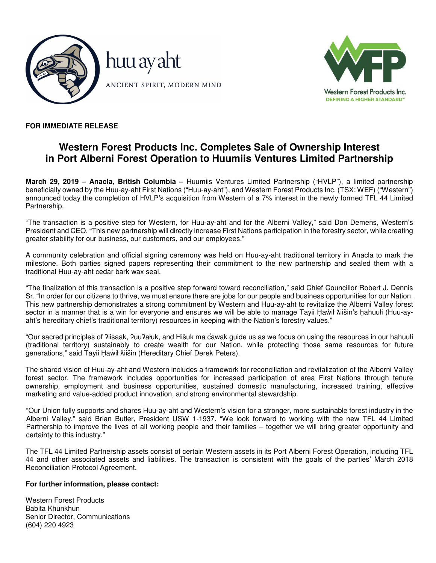



# **FOR IMMEDIATE RELEASE**

# **Western Forest Products Inc. Completes Sale of Ownership Interest in Port Alberni Forest Operation to Huumiis Ventures Limited Partnership**

**March 29, 2019 – Anacla, British Columbia –** Huumiis Ventures Limited Partnership ("HVLP"), a limited partnership beneficially owned by the Huu-ay-aht First Nations ("Huu-ay-aht"), and Western Forest Products Inc. (TSX: WEF) ("Western") announced today the completion of HVLP's acquisition from Western of a 7% interest in the newly formed TFL 44 Limited Partnership.

"The transaction is a positive step for Western, for Huu-ay-aht and for the Alberni Valley," said Don Demens, Western's President and CEO. "This new partnership will directly increase First Nations participation in the forestry sector, while creating greater stability for our business, our customers, and our employees."

A community celebration and official signing ceremony was held on Huu-ay-aht traditional territory in Anacla to mark the milestone. Both parties signed papers representing their commitment to the new partnership and sealed them with a traditional Huu-ay-aht cedar bark wax seal.

"The finalization of this transaction is a positive step forward toward reconciliation," said Chief Councillor Robert J. Dennis Sr. "In order for our citizens to thrive, we must ensure there are jobs for our people and business opportunities for our Nation. This new partnership demonstrates a strong commitment by Western and Huu-ay-aht to revitalize the Alberni Valley forest sector in a manner that is a win for everyone and ensures we will be able to manage Tayii Ḥaẁił Ăiišin's ḥahuułi (Huu-ayaht's hereditary chief's traditional territory) resources in keeping with the Nation's forestry values."

"Our sacred principles of ʔiisaak, ʔuuʔałuk, and Hišuk ma c̕awak guide us as we focus on using the resources in our ḥahuułi (traditional territory) sustainably to create wealth for our Nation, while protecting those same resources for future generations," said Tayii Ḥaẁił Ăiišin (Hereditary Chief Derek Peters).

The shared vision of Huu-ay-aht and Western includes a framework for reconciliation and revitalization of the Alberni Valley forest sector. The framework includes opportunities for increased participation of area First Nations through tenure ownership, employment and business opportunities, sustained domestic manufacturing, increased training, effective marketing and value-added product innovation, and strong environmental stewardship.

"Our Union fully supports and shares Huu-ay-aht and Western's vision for a stronger, more sustainable forest industry in the Alberni Valley," said Brian Butler, President USW 1-1937. "We look forward to working with the new TFL 44 Limited Partnership to improve the lives of all working people and their families – together we will bring greater opportunity and certainty to this industry."

The TFL 44 Limited Partnership assets consist of certain Western assets in its Port Alberni Forest Operation, including TFL 44 and other associated assets and liabilities. The transaction is consistent with the goals of the parties' March 2018 Reconciliation Protocol Agreement.

### **For further information, please contact:**

Western Forest Products Babita Khunkhun Senior Director, Communications (604) 220 4923